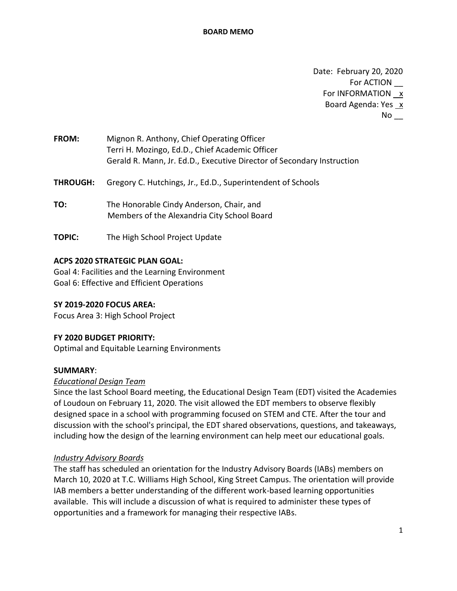Date: February 20, 2020 For ACTION \_\_ For INFORMATION  $x$ Board Agenda: Yes x No \_\_

- **FROM:** Mignon R. Anthony, Chief Operating Officer Terri H. Mozingo, Ed.D., Chief Academic Officer Gerald R. Mann, Jr. Ed.D., Executive Director of Secondary Instruction
- **THROUGH:** Gregory C. Hutchings, Jr., Ed.D., Superintendent of Schools
- **TO:** The Honorable Cindy Anderson, Chair, and Members of the Alexandria City School Board
- **TOPIC:** The High School Project Update

## **ACPS 2020 STRATEGIC PLAN GOAL:**

Goal 4: Facilities and the Learning Environment Goal 6: Effective and Efficient Operations

## **SY 2019-2020 FOCUS AREA:**

Focus Area 3: High School Project

## **FY 2020 BUDGET PRIORITY:**

Optimal and Equitable Learning Environments

## **SUMMARY**:

## *Educational Design Team*

Since the last School Board meeting, the Educational Design Team (EDT) visited the Academies of Loudoun on February 11, 2020. The visit allowed the EDT members to observe flexibly designed space in a school with programming focused on STEM and CTE. After the tour and discussion with the school's principal, the EDT shared observations, questions, and takeaways, including how the design of the learning environment can help meet our educational goals.

# *Industry Advisory Boards*

The staff has scheduled an orientation for the Industry Advisory Boards (IABs) members on March 10, 2020 at T.C. Williams High School, King Street Campus. The orientation will provide IAB members a better understanding of the different work-based learning opportunities available. This will include a discussion of what is required to administer these types of opportunities and a framework for managing their respective IABs.